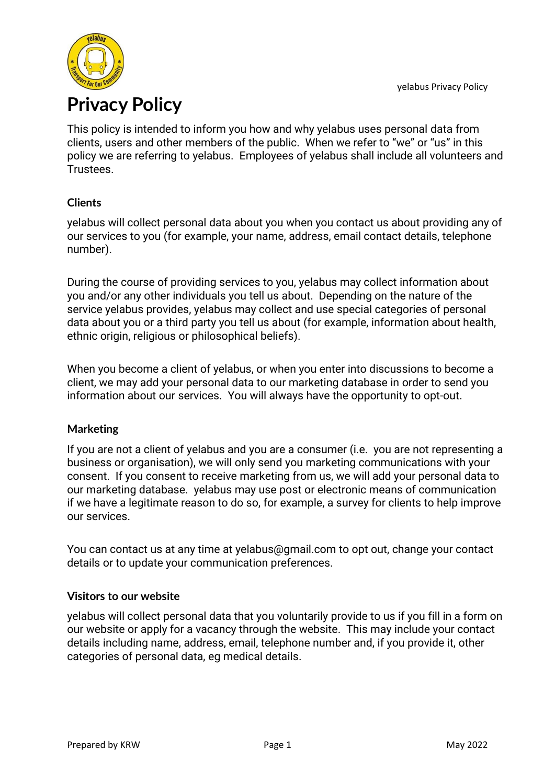

This policy is intended to inform you how and why yelabus uses personal data from clients, users and other members of the public. When we refer to "we" or "us" in this policy we are referring to yelabus. Employees of yelabus shall include all volunteers and **Trustees** 

# **Clients**

yelabus will collect personal data about you when you contact us about providing any of our services to you (for example, your name, address, email contact details, telephone number).

During the course of providing services to you, yelabus may collect information about you and/or any other individuals you tell us about. Depending on the nature of the service yelabus provides, yelabus may collect and use special categories of personal data about you or a third party you tell us about (for example, information about health, ethnic origin, religious or philosophical beliefs).

When you become a client of yelabus, or when you enter into discussions to become a client, we may add your personal data to our marketing database in order to send you information about our services. You will always have the opportunity to opt-out.

#### **Marketing**

If you are not a client of yelabus and you are a consumer (i.e. you are not representing a business or organisation), we will only send you marketing communications with your consent. If you consent to receive marketing from us, we will add your personal data to our marketing database. yelabus may use post or electronic means of communication if we have a legitimate reason to do so, for example, a survey for clients to help improve our services.

You can contact us at any time at yelabus@gmail.com to opt out, change your contact details or to update your communication preferences.

#### **Visitors to our website**

yelabus will collect personal data that you voluntarily provide to us if you fill in a form on our website or apply for a vacancy through the website. This may include your contact details including name, address, email, telephone number and, if you provide it, other categories of personal data, eg medical details.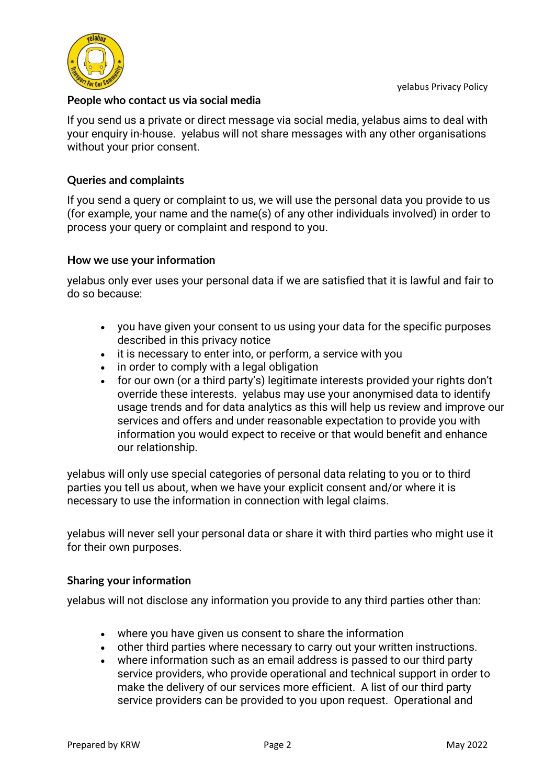

#### **People who contact us via social media**

If you send us a private or direct message via social media, yelabus aims to deal with your enquiry in-house. yelabus will not share messages with any other organisations without your prior consent.

## **Queries and complaints**

If you send a query or complaint to us, we will use the personal data you provide to us (for example, your name and the name(s) of any other individuals involved) in order to process your query or complaint and respond to you.

#### **How we use your information**

yelabus only ever uses your personal data if we are satisfied that it is lawful and fair to do so because:

- you have given your consent to us using your data for the specific purposes described in this privacy notice
- it is necessary to enter into, or perform, a service with you
- in order to comply with a legal obligation
- for our own (or a third party's) legitimate interests provided your rights don't override these interests. yelabus may use your anonymised data to identify usage trends and for data analytics as this will help us review and improve our services and offers and under reasonable expectation to provide you with information you would expect to receive or that would benefit and enhance our relationship.

yelabus will only use special categories of personal data relating to you or to third parties you tell us about, when we have your explicit consent and/or where it is necessary to use the information in connection with legal claims.

yelabus will never sell your personal data or share it with third parties who might use it for their own purposes.

#### **Sharing your information**

yelabus will not disclose any information you provide to any third parties other than:

- where you have given us consent to share the information
- other third parties where necessary to carry out your written instructions.
- where information such as an email address is passed to our third party service providers, who provide operational and technical support in order to make the delivery of our services more efficient. A list of our third party service providers can be provided to you upon request. Operational and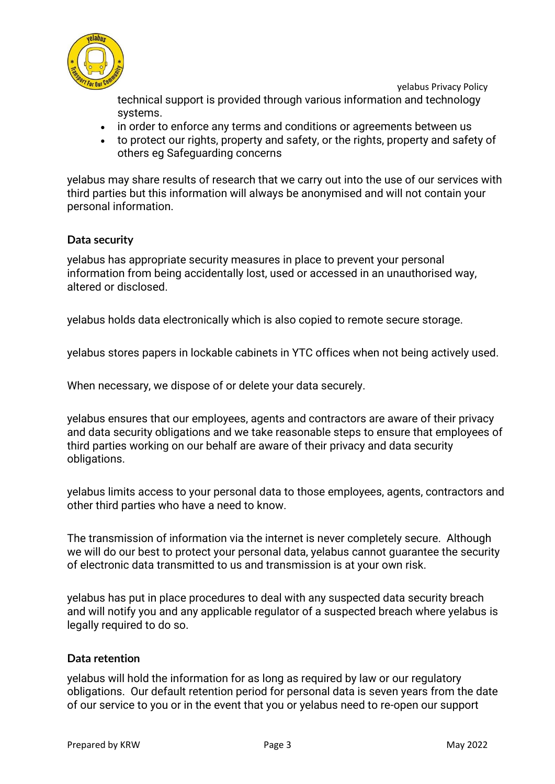

yelabus Privacy Policy

technical support is provided through various information and technology systems.

- in order to enforce any terms and conditions or agreements between us
- to protect our rights, property and safety, or the rights, property and safety of others eg Safeguarding concerns

yelabus may share results of research that we carry out into the use of our services with third parties but this information will always be anonymised and will not contain your personal information.

# **Data security**

yelabus has appropriate security measures in place to prevent your personal information from being accidentally lost, used or accessed in an unauthorised way, altered or disclosed.

yelabus holds data electronically which is also copied to remote secure storage.

yelabus stores papers in lockable cabinets in YTC offices when not being actively used.

When necessary, we dispose of or delete your data securely.

yelabus ensures that our employees, agents and contractors are aware of their privacy and data security obligations and we take reasonable steps to ensure that employees of third parties working on our behalf are aware of their privacy and data security obligations.

yelabus limits access to your personal data to those employees, agents, contractors and other third parties who have a need to know.

The transmission of information via the internet is never completely secure. Although we will do our best to protect your personal data, yelabus cannot guarantee the security of electronic data transmitted to us and transmission is at your own risk.

yelabus has put in place procedures to deal with any suspected data security breach and will notify you and any applicable regulator of a suspected breach where yelabus is legally required to do so.

#### **Data retention**

yelabus will hold the information for as long as required by law or our regulatory obligations. Our default retention period for personal data is seven years from the date of our service to you or in the event that you or yelabus need to re-open our support